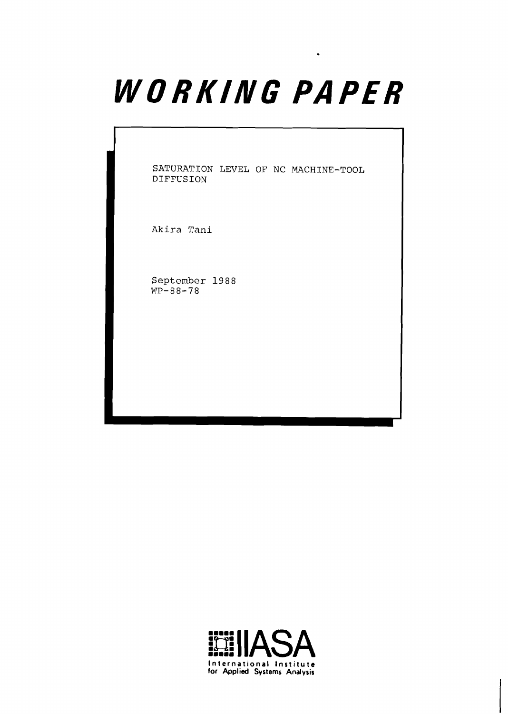# WORKING PAPER

<sup>1</sup>**SATURATION LEVEL OF NC MACHINE-TOOL DIFFUSION** 

**Akira Tani** 

**September** 1988  $WP-88-78$ 

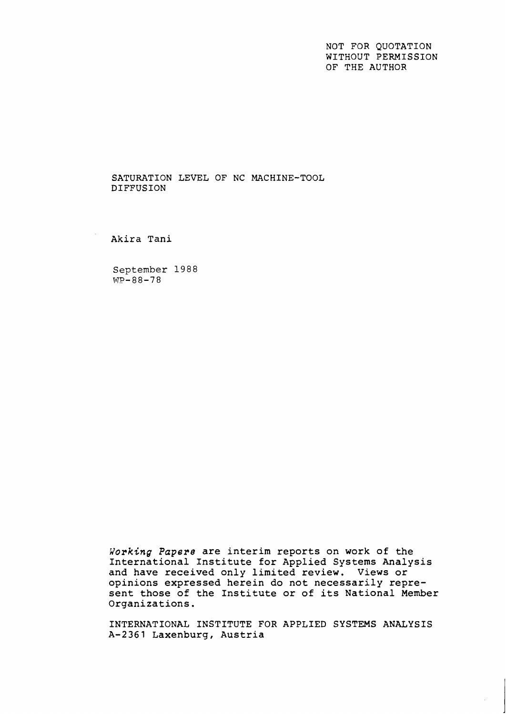NOT FOR QUOTATION WITHOUT PERMISSION OF THE AUTHOR

SATURATION LEVEL OF NC MACHINE-TOOL DIFFUSION

Akira Tani

September 1988 **WP-88-78** 

**Working** *Papera* are interim reports on work of the International Institute for Applied Systems Analysis and have received only limited review. Views or opinions expressed herein do not necessarily represent those of the Institute or of its National Member Organizations.

INTERNATIONAL INSTITUTE FOR APPLIED SYSTEMS ANALYSIS A-2361 Laxenburg, Austria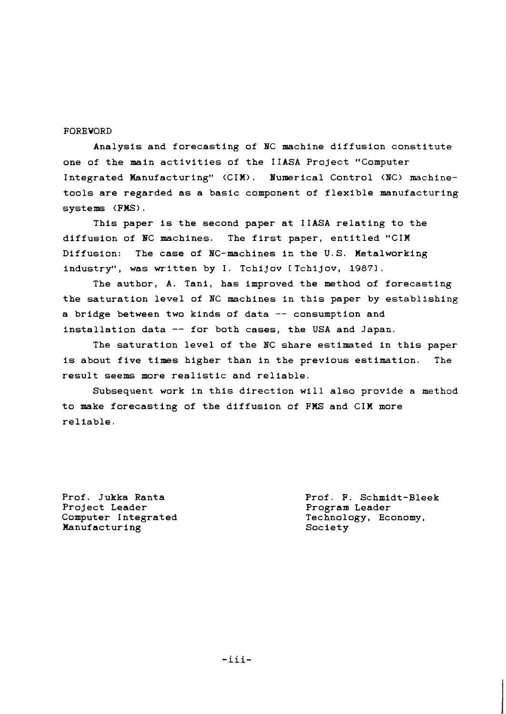## FOREWORD

Analysis and forecasting of BC machine diffusion constitute one of the main activities of the IIASA Project "Computer Integrated Wanufacturing" (CIM). Numerical Control (BC) machinetools are regarded as a basic component of flexible manufacturing systems **(FMS).** 

This paper is the second paper at IIASA relating to the diffusion of BC machines. The first paper, entitled "CIM Diffusion: The case of BC-machines in the U.S. Metalworking industry", was written by I. Tchijov [Tchijov, 1987].

The author, A. Tani, has improved the method of forecasting the saturation level of NC machines in this paper by establishing a bridge between two kinds of data -- consumption and installation data -- for both cases, the USA and Japan.

The saturation level of the NC share estimated in this paper is about five times higher than in the previous estimation. The result seems more realistic and reliable.

Subsequent work in this direction will also provide a method to make forecasting of the diffusion of FMS and CIM more reliable.

Prof. Jukka Ranta Project Leader Computer Integrated Manufacturing

Prof. F. Schmidt-Bleek Program Leader Technology, Economy, Society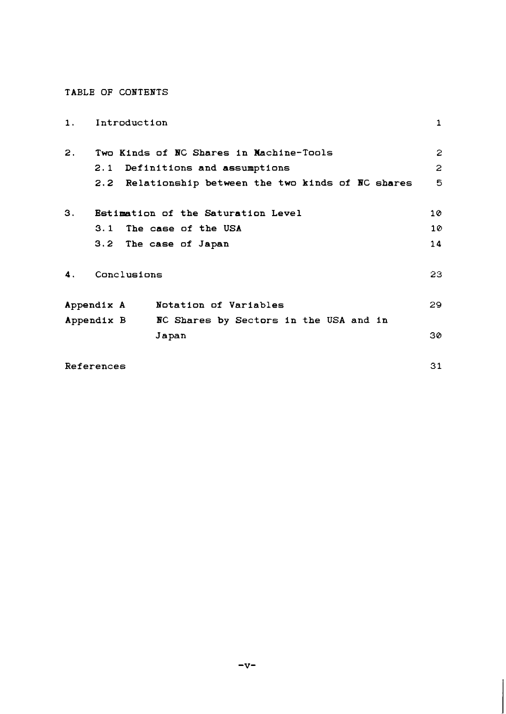## **TABLE OF CONTENTS**

| 1.             | Introduction |                                                     | $\mathbf{1}$ |
|----------------|--------------|-----------------------------------------------------|--------------|
| $\mathbf{2}$ . |              | Two Kinds of NC Shares in Machine-Tools             | 2            |
|                | 2.1          | Definitions and assumptions                         | $\mathbf{2}$ |
|                |              | 2.2 Relationship between the two kinds of NC shares | 5            |
| 3.             |              | Estimation of the Saturation Level                  | 10           |
|                |              | 3.1 The case of the USA                             | 10           |
|                |              | 3.2 The case of Japan                               | 14           |
| 4.             | Conclusions  |                                                     | 23           |
|                | Appendix A   | Notation of Variables                               | 29           |
|                | Appendix B   | NC Shares by Sectors in the USA and in              |              |
|                |              | Japan                                               | 30           |
|                | References   |                                                     | 31           |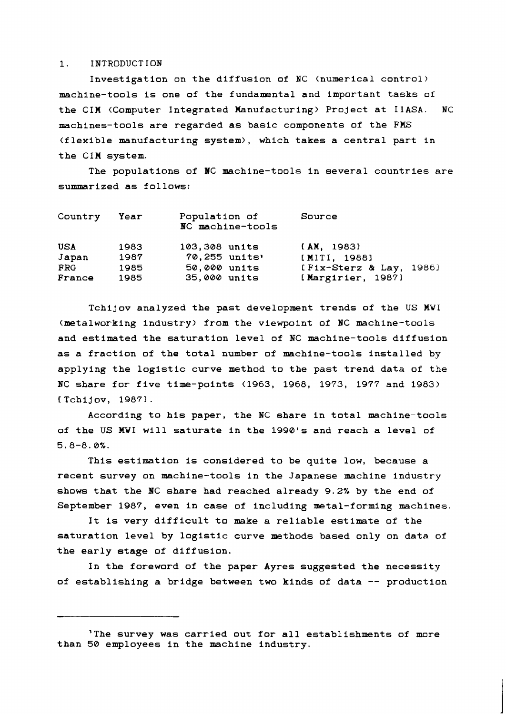## **1. INTRODUCTION**

**Investigation on the diffusion of BC (numerical control) machine-tools is one of the fundamental and important tasks of the CIM (Computer Integrated Manufacturing) Project at IIASA. NC machines-tools are regarded as basic components of the FMS (flexible manufacturing system), which takes a central part in the CIM system.** 

**The populations of NC machine-tools in several countries are summarized as follows:** 

| Country    | Year | Population of<br>NC machine-tools | Source                  |
|------------|------|-----------------------------------|-------------------------|
| USA        | 1983 | 103,308 units                     | [AM, 1983]              |
| Japan      | 1987 | 70,255 units'                     | [MITI, 1988]            |
| <b>FRG</b> | 1985 | 50,000 units                      | [Fix-Sterz & Lay, 1986] |
| France     | 1985 | 35,000 units                      | [Margirier, 1987]       |

**Tchijov analyzed the past development trends of the US MWI (metalworking industry> from the viewpoint of NC machine-tools and estimated the saturation level of NC machine-tools diffusion as a fraction of the total number of machine-tools installed by applying the logistic curve method to the past trend data of the NC share for five time-points (1963, 1968, 1973, 1977 and 1983) CTchijov, 19871.** 

**According to his paper, the NC share in total machine-tools of the US MWI will saturate in the 1990's and reach a level of 5.8-8.0%.** 

**This estimation is considered to be quite low, because a recent survey on machine-tools in the Japanese machine industry shows that the BC share had reached already 9.2% by the end of September 1987, even in case of including metal-forming machines.** 

**It is very difficult to make a reliable estimate of the saturation level by logistic curve methods based only on data of the early stage of diffusion.** 

**In the foreword of the paper Ayres suggested the necessity of establishing a bridge between two kinds of data** -- **production** 

**<sup>&#</sup>x27;The survey was carried out for all establishments of more than 50 employees in the machine industry.**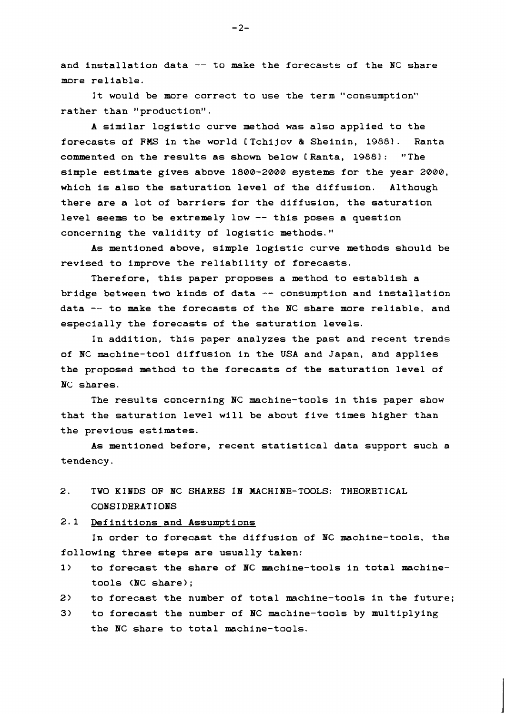**and installation data** -- **to make the forecasts of the NC share more reliable.** 

**It would be more correct to use the term "consumption" rather than "production".** 

**A similar logistic curve method was also applied to the forecasts of FMS in the world CTchijov** & **Sheinin, 19881. Ranta commented on the results as shown below C Ranta, 19881** : **"The simple estimate gives above 1800-2000 systems for the year 2088, which is also the saturation level of the diffusion. Although there are a lot of barriers for the diffusion, the saturation level seems to be extremely low** -- **this poses a question concerning the validity of logistic methods."** 

**As mentioned above, simple logistic curve methods should be revised to improve the reliability of forecasts.** 

**Therefore, this paper proposes a method to establish a bridge between two kinds of data** -- **consumption and installation data** -- **to make the forecasts of the NC share more reliable, and especially the forecasts of the saturation levels.** 

**In addition, this paper analyzes the past and recent trends of NC machine-tool diffusion in the USA and Japan, and applies the proposed method to the forecasts of the saturation level of BC shares.** 

**The results concerning BC machine-tools in this paper show that the saturation level will be about five times higher than the previous estimates.** 

**As mentioned before, recent statistical data support such a tendency.** 

- **2. TWO KINDS OF BC SHARES IB MACHIBE-TOOLS: THEORETICAL COBSIDERATIOBS**
- **2.1 Definitions and Assumptions**

**In order to forecast the diffusion of BC machine-tools, the following three steps are usually taken:** 

- **1) to forecast the share of BC machine-tools in total machinetools (BC share)** ;
- **2) to forecast the number of total machine-tools in the future;**
- **3) to forecast the number of BC machine-tools by multiplying the BC share to total machine-tools.**

 $-2-$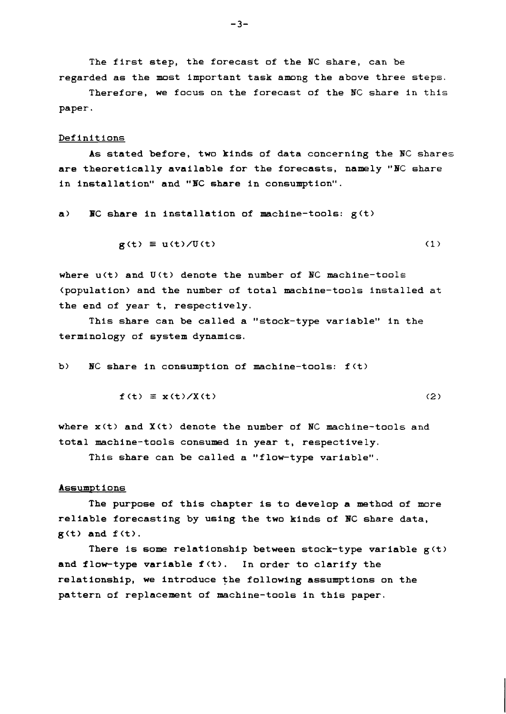**The first step, the forecast of the BC share, can be regarded as the most Important task among the above three steps.** 

**Therefore, we focus on the forecast of the** HC **share in this paper.** 

#### **Definitions**

**As stated before, two kinds of data concerning the** NC **shares are theoretically available for the forecasts, namely** "BC **share in installation" and "BC share in consumption".** 

**a) BC share in installation of machine-tools: g(t>** 

$$
g(t) \equiv u(t)/U(t) \tag{1}
$$

where  $u(t)$  and  $U(t)$  denote the number of NC machine-tools **(population) and the number of total machine-tools installed at the end of year t, respectively.** 

**This share can be called a "stock-type variable" in the terminology of system dynamics.** 

b) **NC** share in consumption of machine-tools:  $f(t)$ 

$$
\mathbf{f}(t) \equiv \mathbf{x}(t) / \mathbf{X}(t) \tag{2}
$$

**where x(t> and X<t> denote the number of** NC **machine-tools and total machine-tools consumed in year t, respectively.** 

**This share can be called a "flow-type variable".** 

### **Assumpt i ons**

**The purpose of this chapter is to develop a method of more reliable forecasting by using the two kinds of BC share data, g(t) and f (t).** 

There is some relationship between stock-type variable  $g(t)$ **and flow-type variable f(t). In order to clarify the relationship, we introduce the following assumptions on the pattern of replacement of machine-tools in this paper.**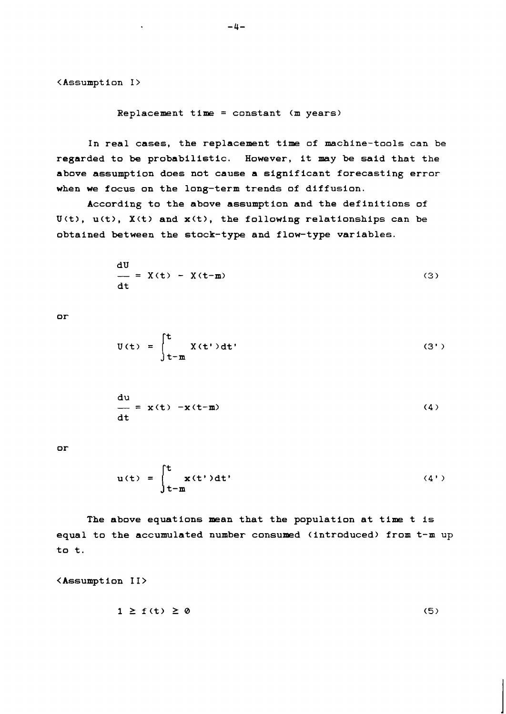<Assumption I>

**Replacement time** = **constant (m years)** 

**In real cases, the replacement time of machine-tools can be regarded to be probabilistic. However, it may be said that the above assumption does not cause a significant forecasting error when we focus on the long-term trends of diffusion.** 

**According to the above assumption and the definitions of**  U(t), u(t), X(t) and x(t), the following relationships can be **obtained between the stock-type and flow-type variables.** 

$$
\frac{dU}{dt} = X(t) - X(t-m)
$$
 (3)

 $or$ 

$$
U(t) = \int_{t-\mathbf{m}}^{t} X(t') dt'
$$
 (3')

$$
\frac{du}{dt} = x(t) - x(t-\mathbf{m})
$$
 (4)

or

$$
u(t) = \int_{t-\text{m}}^{t} x(t')dt'
$$
 (4')

**The above equations mean that the population at time t is equal to the accumulated number consumed (introduced) from t-m up to t.** 

**<Assumption II>** 

$$
1 \ge f(t) \ge 0 \tag{5}
$$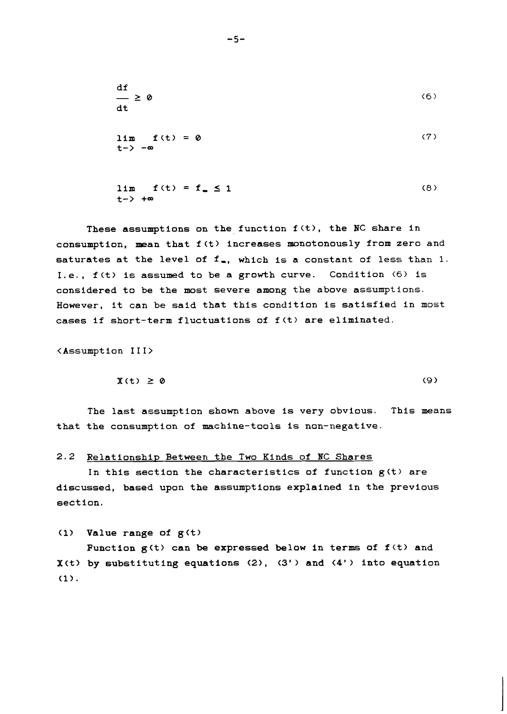$df$  $(6)$  $\equiv$  2 0  $dt$  $(7)$  $lim f(t) = 0$ **t->** -=

 $(8)$ 

 $(9)$ 

**These assumptions on the function f(t>, the NC share in**  consumption, mean that  $f(t)$  increases monotonously from zero and saturates at the level of f<sub>a</sub>, which is a constant of less than 1. **I. e., f (t> is assumed to be a growth curve. Condition (6) is considered to be the most severe among the above assumptions. However, it can be said that this condition is satisfied in most cases if short-term fluctuations of f(t> are eliminated.** 

<Assumption III>

 $X(t) \geq 0$ 

**The last assumption shown above is very obvious. This means**  that the consumption of machine-tools is non-negative.

2.2 Relationship Between the Two Kinds of NC Shares

In this section the characteristics of function  $g(t)$  are **discussed, based upon the assumptions explained in the previous section.** 

**(1) Value range of g<t>** 

Function  $g(t)$  can be expressed below in terms of  $f(t)$  and **X<t) by substituting equations (21, (3'** > **and (4'** > **into equation (1).** 

 $lim f(t) = f_0 \le 1$ 

**t->** +=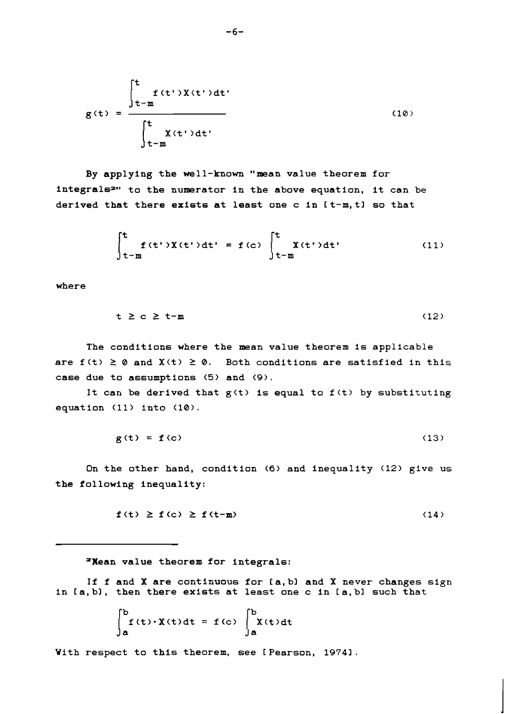$$
g(t) = \frac{\int_{t-m}^{t} f(t')X(t')dt'}{\int_{t-m}^{t} X(t')dt'}
$$
 (10)

By applying the well-known "mean value theorem for integrals<sup>2</sup>" to the numerator in the above equation, it can be derived that there exists at least one c in [t-m, t] so that

$$
\int_{t-m}^{t} f(t')X(t')dt' = f(c) \int_{t-m}^{t} X(t')dt' \qquad (11)
$$

where

$$
t \ge c \ge t-m \tag{12}
$$

The conditions where the mean value theorem is applicable are  $f(t) \geq 0$  and  $X(t) \geq 0$ . Both conditions are satisfied in this case due to assumptions **(5)** and **(9).** 

It can be derived that  $g(t)$  is equal to  $f(t)$  by substituting equation (11) into (10).

> $g(t) = f(c)$  $(13)$

On the other hand, condition **(6)** and inequality (12) give us the following inequality:

$$
\mathbf{f}(t) \geq \mathbf{f}(c) \geq \mathbf{f}(t-\mathbf{m}) \tag{14}
$$

=Hean value theorem for integrals:

If f and X are continuous for [a, b] and X never changes sign in [a, b], then there exists at least one c in [a, b] such that

$$
\int_{a}^{b} f(t) \cdot X(t) dt = f(c) \int_{a}^{b} X(t) dt
$$

With respect to this theorem, see [ Pearson, 1974].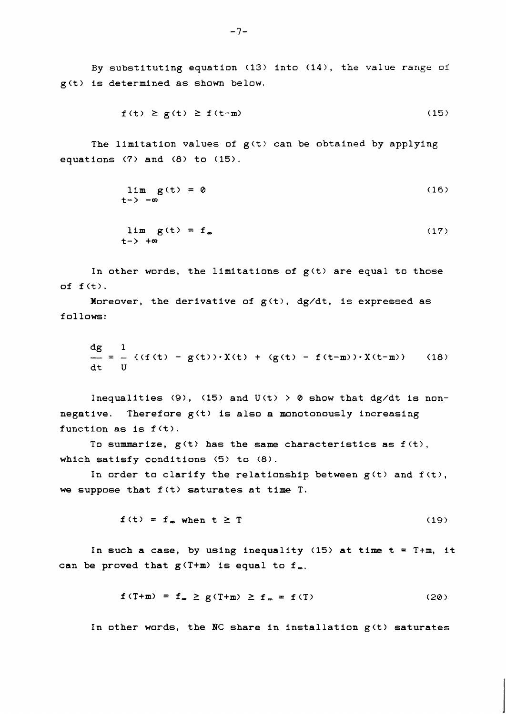By substituting equation (13) into (14>, the value range of g(t> is determined as shown below.

$$
f(t) \ge g(t) \ge f(t-m) \tag{15}
$$

The limitation values of  $g(t)$  can be obtained by applying equations (7) and (8) to (15).

$$
\lim_{t \to -\infty} g(t) = 0 \tag{16}
$$

$$
\lim_{t \to \infty} g(t) = f_{\infty} \tag{17}
$$

In other words, the limitations of  $g(t)$  are equal to those of  $f(t)$ .

Moreover, the derivative of  $g(t)$ , d $g/dt$ , is expressed as follows:

$$
\frac{dg}{dt} = \frac{1}{-} \{ (f(t) - g(t)) \cdot X(t) + (g(t) - f(t-m)) \cdot X(t-m) \} \qquad (18)
$$

Inequalities (9), (15) and  $U(t) > 0$  show that dg/dt is nonnegative. Therefore  $g(t)$  is also a monotonously increasing function as is f (t).

To summarize,  $g(t)$  has the same characteristics as  $f(t)$ , which satisfy conditions **(5)** to (8).

In order to clarify the relationship between  $g(t)$  and  $f(t)$ , we suppose that  $f(t)$  saturates at time T.

$$
f(t) = f_{\infty} when t \ge T
$$
 (19)

In such a case, by using inequality **(15)** at time t = T+m, it can be proved that  $g(T+m)$  is equal to  $f_m$ .

$$
\mathbf{f}(T+m) = \mathbf{f}_m \ge \mathbf{g}(T+m) \ge \mathbf{f}_m = \mathbf{f}(T) \tag{20}
$$

In other words, the NC share in installation  $g(t)$  saturates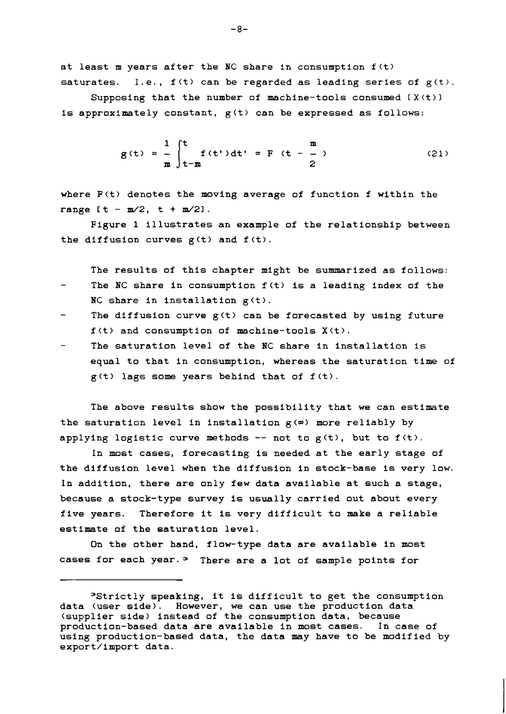**at least m years after the NC share in consumption f(t> saturates. I. e.** , **f (t** > **can be regarded as leading series of g(t** > .

**Supposing that the number of machine-tools consumed [X(t>l is approximately constant, g(t> can be expressed as follows:** 

$$
g(t) = \frac{1}{m} \int_{t-m}^{t} f(t')dt' = F(t - \frac{m}{2})
$$
 (21)

**where F(t) denotes the moving average of function f within the**  range  $[t - m/2, t + m/2].$ 

**Figure 1 illustrates an example of the relationship between**  the diffusion curves  $g(t)$  and  $f(t)$ .

**The results of this chapter might be summarized as follows:** 

- **The** NC **share in consumption f(t> is a leading index of the**  NC **share in installation g(t>.**
- **The diffusion curve g(t> can be forecasted by using future f(t> and consumption of machine-tools X(t>.**
- **The saturation level of the** NC **share in installation is equal to that in consumption, whereas the saturation time of g(t** > **lags some years behind that of f (t** > .

**The above results show the possibility that we can estimate the saturation level in installation g(w) more reliably by applying logistic curve methods** -- **not to g(t>, but to f(t>.** 

**In most cases, forecasting is needed at the early stage of the diffusion level when the diffusion in stock-base is very low. In addition, there are only few data available at such a stage, because a stock-type survey is usually carried out about every five years. Therefore it is very difficult to make a reliable estimate of the saturation level.** 

**On the other hand, flow-type data are available in most cases for each year.= There are a lot of sample points for** 

**<sup>&</sup>quot;Strictly speaking, it is difficult to get the consumption data (user side). However, we can use the production data (supplier side) instead of the consumption data, because production-based data are available in most cases. In case of using production-based data, the data may have to be modified by export/import data.**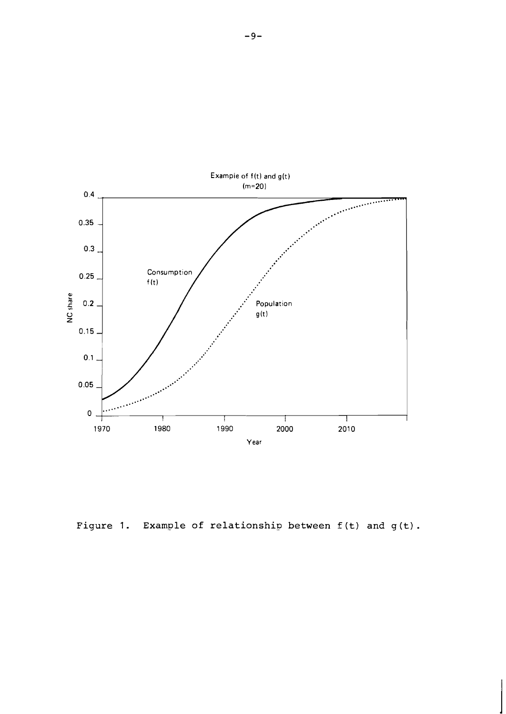

Figure 1. Example of relationship between  $f(t)$  and  $g(t)$ .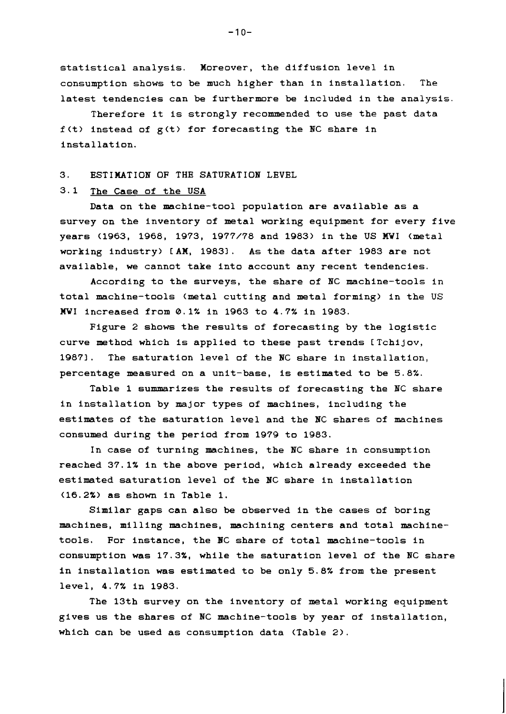**statistical analysis. Moreover, the diffusion level in consumption shows to be much higher than in installation. The latest tendencies can be furthermore be included in the analysis.** 

**Therefore it is strongly recommended to use the past data f(t) instead of g(t) for forecasting the BC share in installat ion.** 

### **3. ESTIMATION OF THE SATURATION LEVEL**

## **3.1 The Case of the USA**

**Data on the machine-tool population are available as a survey on the inventory of metal working equipment for every five years (1963, 1968, 1973, 1977/78 and 1983) in the US MWI (metal working industry) CAM, 19831. As the data after 1983 are not available, we cannot take into account any recent tendencies.** 

**According to the surveys, the share of NC machine-tools in total machine-tools (metal cutting and metal forming) in the US MWI increased from 0.1% in 1963 to 4.7% in 1983.** 

**Figure 2 shows the results of forecasting by the logistic**  curve method which is applied to these past trends [Tchijov, **19871. The saturation level of the BC share in installation, percentage measured on a unit-base, is estimated to be 5.8%.** 

**Table 1 summarizes the results of forecasting the NC share in installation by major types of machines, including the estimates of the saturation level and the BC shares of machines consumed during the period from 1979 to 1983.** 

**In case of turning machines, the NC share in consumption reached 37.1% in the above period, which already exceeded the estimated saturation level of the BC share in installation (16.2%) as shown in Table 1.** 

**Similar gaps can also be observed in the cases of boring machines, milling machines, machining centers and total machinetools. For instance, the NC share of total machine-tools in consumption was 17.3%, while the saturation level of the BC share in installation was estimated to be only 5.8% from the present level, 4.7% in 1983.** 

**The 13th survey on the inventory of metal working equipment gives us the shares of BC machine-tools by year of Installation, which can be used as consumption data (Table 2).** 

 $-10-$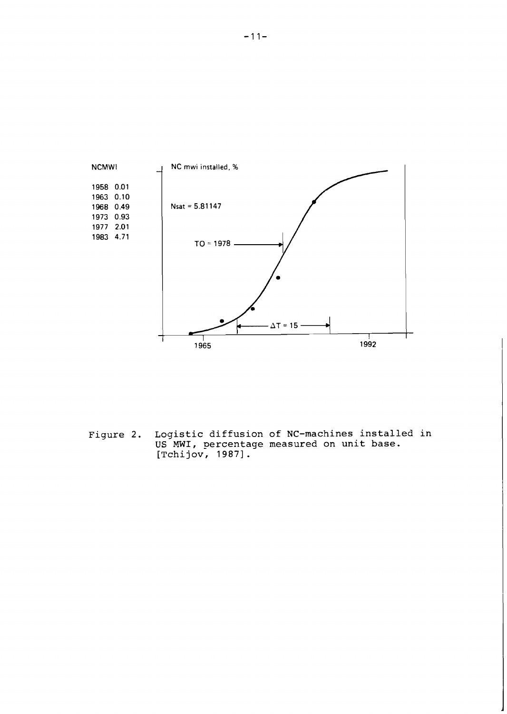

**Figure 2. Logistic diffusion of NC-machines installed in US MWI, percentage measured on unit base. [Tchi jov, 19871** .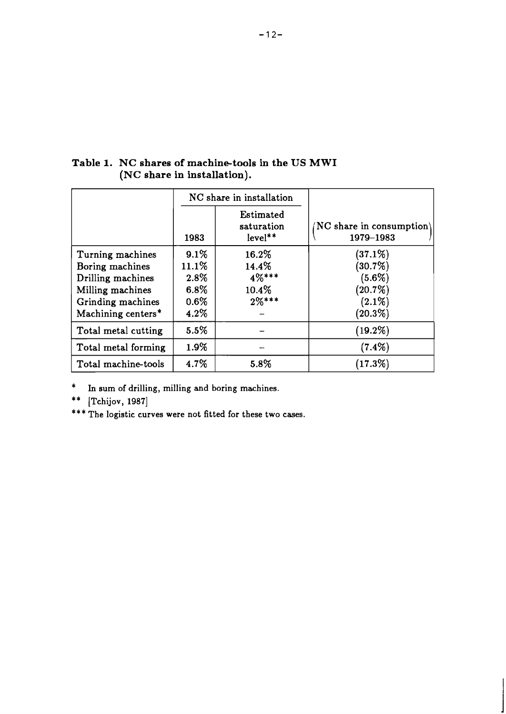|                     |          | NC share in installation           |                                         |
|---------------------|----------|------------------------------------|-----------------------------------------|
|                     | 1983     | Estimated<br>saturation<br>level** | $NC$ share in consumption)<br>1979-1983 |
| Turning machines    | $9.1\%$  | 16.2%                              | $(37.1\%)$                              |
| Boring machines     | $11.1\%$ | 14.4%                              | $(30.7\%)$                              |
| Drilling machines   | 2.8%     | $4\%***$                           | $(5.6\%)$                               |
| Milling machines    | $6.8\%$  | $10.4\%$                           | $(20.7\%)$                              |
| Grinding machines   | $0.6\%$  | $2\%***$                           | $(2.1\%)$                               |
| Machining centers*  | $4.2\%$  |                                    | $(20.3\%)$                              |
| Total metal cutting | $5.5\%$  |                                    | $(19.2\%)$                              |
| Total metal forming | $1.9\%$  |                                    | $(7.4\%)$                               |
| Total machine-tools | 4.7%     | 5.8%                               | $(17.3\%)$                              |

**Table 1. NC shares of machine-tools in the US MWI (NC share in installation).** 

\* **In sum of drilling, milling and boring machines.** 

\*\* [Tchijov, 1987]

\*\*\* The logistic curves were not fitted for these two cases.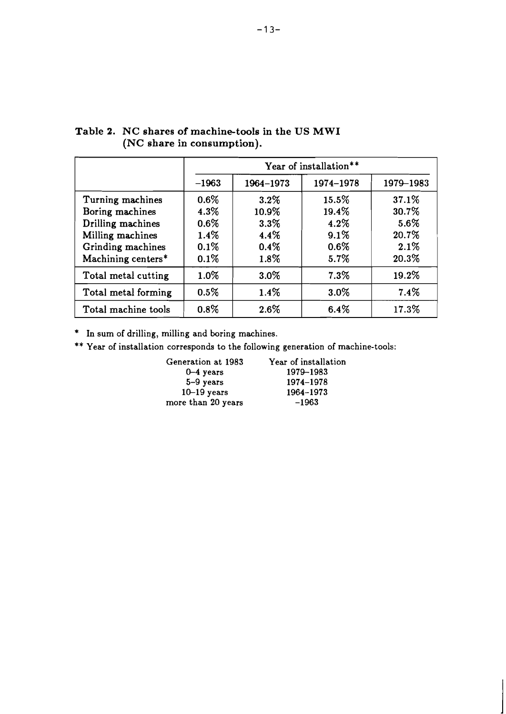|                                                                                                                         |                                                       | Year of installation**                                    |                                                   |                                                  |  |
|-------------------------------------------------------------------------------------------------------------------------|-------------------------------------------------------|-----------------------------------------------------------|---------------------------------------------------|--------------------------------------------------|--|
|                                                                                                                         | $-1963$                                               | 1964-1973                                                 | 1974-1978                                         | 1979-1983                                        |  |
| Turning machines<br>Boring machines<br>Drilling machines<br>Milling machines<br>Grinding machines<br>Machining centers* | $0.6\%$<br>4.3%<br>$0.6\%$<br>$1.4\%$<br>0.1%<br>0.1% | $3.2\%$<br>10.9%<br>$3.3\%$<br>$4.4\%$<br>$0.4\%$<br>1.8% | 15.5%<br>19.4%<br>4.2%<br>9.1%<br>$0.6\%$<br>5.7% | 37.1%<br>30.7%<br>5.6%<br>20.7%<br>2.1%<br>20.3% |  |
| Total metal cutting                                                                                                     | $1.0\%$                                               | $3.0\%$                                                   | 7.3%                                              | 19.2%                                            |  |
| Total metal forming                                                                                                     | $0.5\%$                                               | 1.4%                                                      | $3.0\%$                                           | 7.4%                                             |  |
| Total machine tools                                                                                                     | $0.8\%$                                               | 2.6%                                                      | 6.4%                                              | 17.3%                                            |  |

## **Table 2. NC shares of machine-tools in the US MWI (NC share in consumption).**

\* **In sum of drilling, milling and boring machines.** 

\*\* **Year of installation corresponds to the following generation of machine-tools:** 

| Generation at 1983 | Year of installation |
|--------------------|----------------------|
| $0 - 4$ years      | 1979-1983            |
| $5-9$ years        | 1974-1978            |
| $10-19$ years      | 1964-1973            |
| more than 20 years | $-1963$              |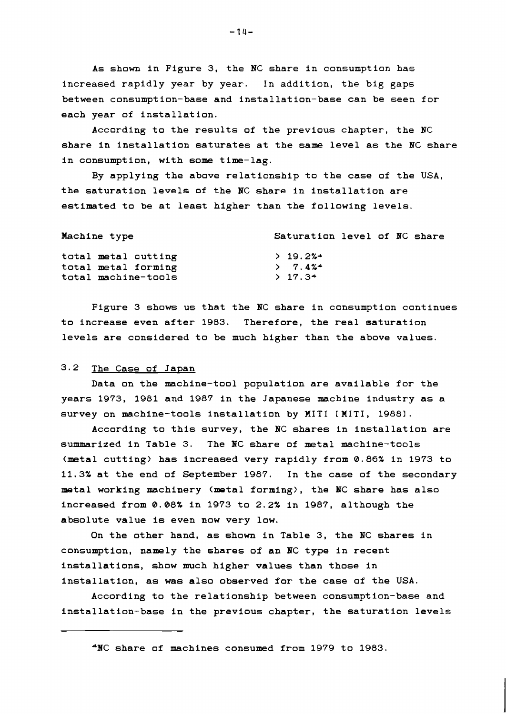**As shown in Figure 3, the NC share in consumption has increased rapidly year by year. In addition, the big gaps between consumption-base and installation-base can be seen for each year of installation.** 

**According to the results of the previous chapter, the NC share in installation saturates at the same level as the BC share in consumption, with some time-lag.** 

**By applying the above relationship to the case of the USA, the saturation levels of the PC share in installation are estimated to be at least higher than the following levels.** 

| Machine type        | Saturation level of NC share |
|---------------------|------------------------------|
| total metal cutting | >19.2%                       |
| total metal forming | $2 \t 7.4\%$                 |
| total machine-tools | $2 \frac{17.34}{ }$          |

**Figure 3 shows us that the NC share in consumption continues to increase even after 1983. Therefore, the real saturation levels are considered to be much higher than the above values.** 

## **3.2 The Case of Japan**

**Data on the machine-tool population are available for the years 1973, 1981 and 1987 in the Japanese machine industry as a survey on machine-tools installation by MITI CMITI, 19881.** 

**According to this survey, the NC shares in installation are summarized in Table 3. The PC share of metal machine-tools (metal cutting) has increased very rapidly from 0.86% in 1973 to 11.3% at the end of September 1987. In the case of the secondary metal working machinery (metal forming), the NC share has also increased from 0.08% in 1973 to 2.2% in 1987, although the absolute value is even now very low.** 

**On the other hand, as shown in Table 3, the NC shares in consumption, namely the shares of an BC type in recent installations, show much higher values than those in installation, as was also observed for the case of the USA.** 

**According to the relationship between consumption-base and installation-base in the previous chapter, the saturation levels** 

**\*PC share of machines consumed from 1979 to 1983.**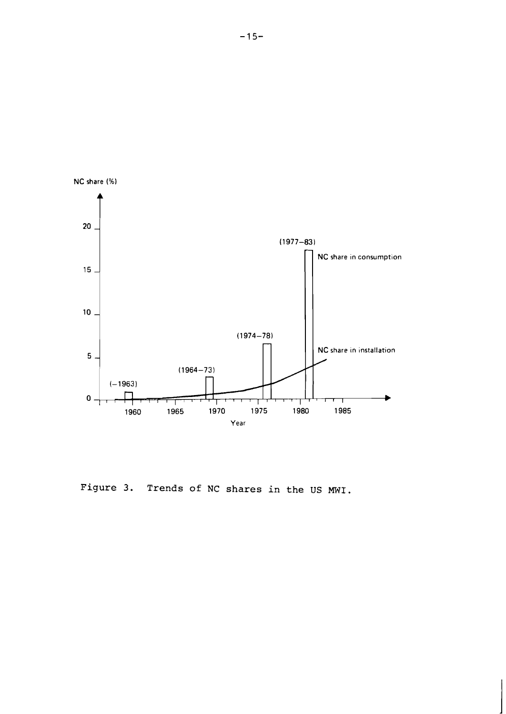

Figure **3.** Trends of NC shares in the US MWI.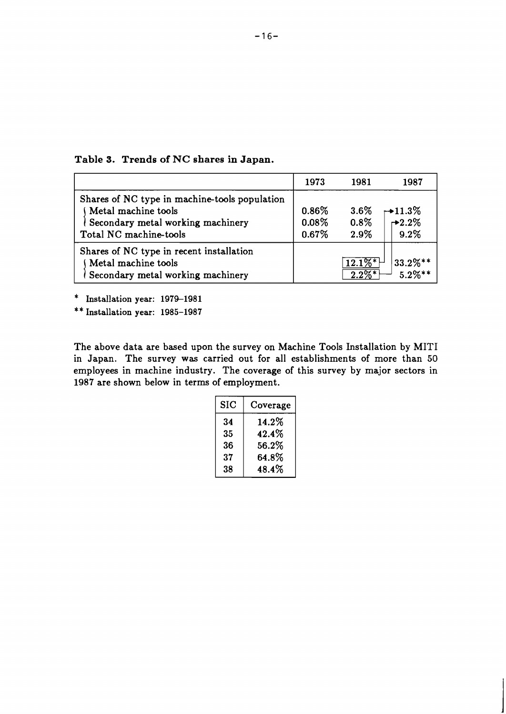|                                                                                                                                     | 1973                          | 1981                             | 1987                                    |
|-------------------------------------------------------------------------------------------------------------------------------------|-------------------------------|----------------------------------|-----------------------------------------|
| Shares of NC type in machine-tools population<br>Metal machine tools<br>Secondary metal working machinery<br>Total NC machine-tools | $0.86\%$<br>$0.08\%$<br>0.67% | $3.6\%$<br>$0.8\%$<br>2.9%       | $\rightarrow$ 11.3%<br>$-2.2\%$<br>9.2% |
| Shares of NC type in recent installation<br>Metal machine tools<br>Secondary metal working machinery                                |                               | $12.1\%$ <sup>*</sup><br>$2.2\%$ | $33.2\%**$<br>$5.2\%**$                 |

**Table 3. Trends of NC shares in Japan.** 

\* Installation year: 1979-1981

\* \* **Installation year: 1985-1987** 

The above data are based upon the survey on Machine Tools Installation by MITI in Japan. The survey was carried out for all establishments of more than **50**  employees in machine industry. The coverage of this survey by major sectors in **1987** are shown below in terms of employment.

| SIC | Coverage |
|-----|----------|
| 34  | $14.2\%$ |
| 35  | 42.4%    |
| 36  | 56.2%    |
| 37  | $64.8\%$ |
| 38  | 48.4%    |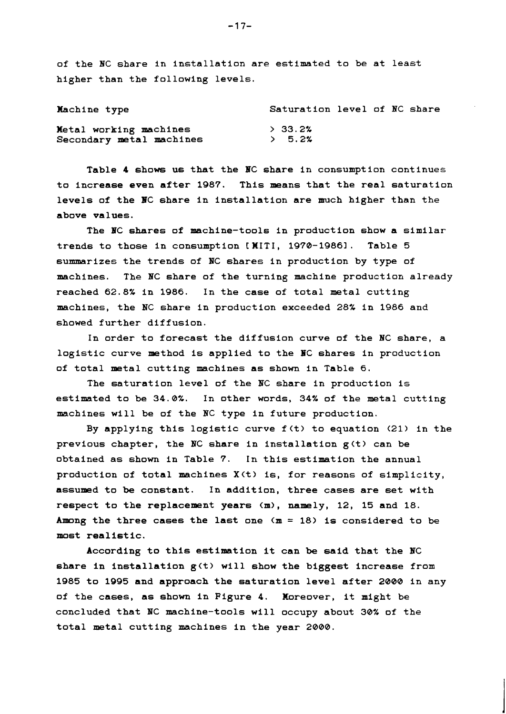**of the BC share in installation are estimated to be at least higher than the following levels.** 

| Machine type             | Saturation level of NC share |
|--------------------------|------------------------------|
| Metal working machines   | > 33.2%                      |
| Secondary metal machines | > 5.2%                       |

**Table 4 shows us that the BC share in consumption continues to increase even after 1987. This means that the real saturation levels of the BC share in installation are much higher than the above values.** 

**The BC shares of machine-tools in production show a similar trends to those in consumption CWITI, 1970-19861. Table 5**  summarizes the trends of NC shares in production by type of **machines. The HC share of the turning machine production already reached 62.8% in 1986. In the case of total metal cutting machines, the NC share in production exceeded 28% in 1986 and showed further diffusion.** 

**In order to forecast the diffusion curve of the BC share, a logistic curve method is applied to the BC shares in production of total metal cutting machines as shown in Table 6.** 

**The saturation level of the BC share in production is estimated to be 34.0%. In other words, 34% of the metal cutting machines will be of the BC type in future production.** 

**By applying this logistic curve f (t) to equation (21) in the previous chapter, the BC share in installation g(t) can be obtained as shown in Table 7. In this estimation the annual production of total machines X(t) is, for reasons of simplicity, assumed to be constant. In addition, three cases are set with respect to the replacement years (n), namely, 12, 15 and 18. Among the three cases the last one (m** = **18) is considered to be most realistic.** 

**According to this estimation it can be said that the NC share in installation g<t) will show the biggest increase from 1985 to 1995 and approach the saturation level after 2000 in any of the cases, as shown in Figure 4. Moreover, it might be concluded that NC machine-tools will occupy about 30% of the total metal cutting machines in the year 2000.**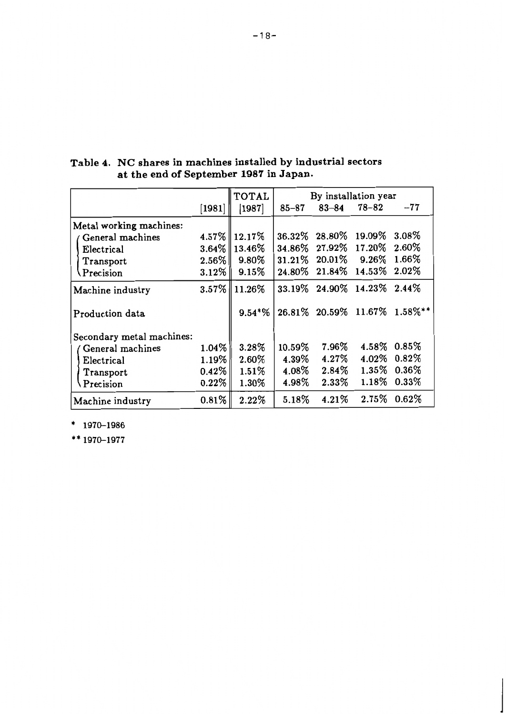|                           |                                | <b>TOTAL</b>      | By installation year |                 |                     |                              |
|---------------------------|--------------------------------|-------------------|----------------------|-----------------|---------------------|------------------------------|
|                           | $\left\lceil 1981\right\rceil$ | [1987]            | $85 - 87$            | $83 - 84$       | $78 - 82$           | $-77$                        |
| Metal working machines:   |                                |                   |                      |                 |                     |                              |
| General machines          |                                | $4.57\%$   12.17% | 36.32%               | 28.80%          | 19.09%              | $3.08\%$                     |
| Electrical                |                                | $3.64\%$   13.46% | 34.86%               | $27.92\%$       | 17.20%              | 2.60%                        |
| Transport                 | $2.56\%$                       | 9.80%             |                      | 31.21\% 20.01\% | $9.26\%$            | 1.66%                        |
| $\Pr{ecision}$            | $3.12\%$                       | 9.15%             | 24.80%               | 21.84%          | $14.53\%$           | 2.02%                        |
| Machine industry          |                                | $3.57\%$   11.26% | 33.19%               |                 | 24.90% 14.23% 2.44% |                              |
| Production data           |                                | $9.54*%$          |                      |                 |                     | 26.81% 20.59% 11.67% 1.58%** |
| Secondary metal machines: |                                |                   |                      |                 |                     |                              |
| General machines          | $1.04\%$                       | 3.28%             | 10.59%               | $7.96\%$        | $4.58\%$            | 0.85%                        |
| Electrical                | $1.19\%$                       | 2.60%             | 4.39%                | $4.27\%$        | $4.02\%$            | $0.82\%$                     |
| Transport                 | $0.42\%$                       | $1.51\%$          | $4.08\%$             | $2.84\%$        | $1.35\%$            | $0.36\%$                     |
| Precision                 | $0.22\%$                       | 1.30%             | 4.98%                | 2.33%           | $1.18\%$            | $0.33\%$                     |
| Machine industry          | $0.81\%$                       | $2.22\%$          | $5.18\%$             | $4.21\%$        | $2.75\%$            | $0.62\%$                     |

**Table 4. NC shares in machines installed by industrial sectors at the end of September 1987 in Japan.** 

 $*$  1970-1986

\*\* 1970-1977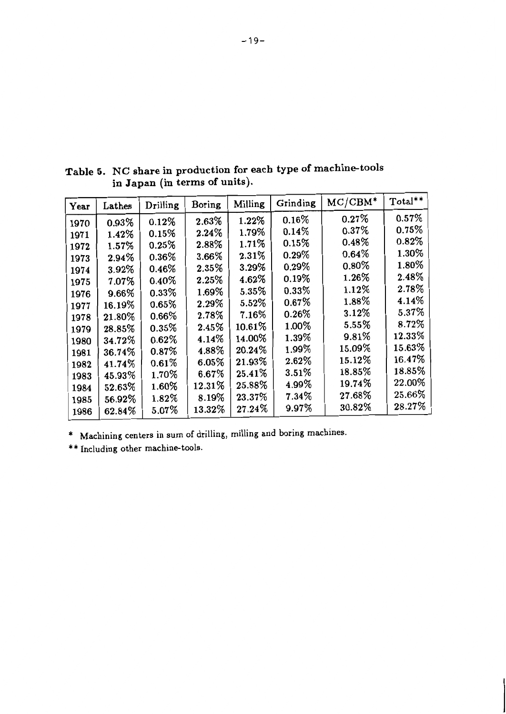| Year | Lathes | Drilling | Boring   | Milling  | Grinding | $MC/CBM^*$ | Total** |
|------|--------|----------|----------|----------|----------|------------|---------|
| 1970 | 0.93%  | 0.12%    | 2.63%    | 1.22%    | $0.16\%$ | 0.27%      | 0.57%   |
| 1971 | 1.42%  | 0.15%    | 2.24%    | 1.79%    | 0.14%    | 0.37%      | 0.75%   |
| 1972 | 1.57%  | 0.25%    | 2.88%    | 1.71%    | 0.15%    | $0.48\%$   | 0.82%   |
| 1973 | 2.94%  | $0.36\%$ | 3.66%    | 2.31%    | $0.29\%$ | 0.64%      | 1.30%   |
| 1974 | 3.92%  | 0.46%    | 2.35%    | 3.29%    | 0.29%    | $0.80\%$   | 1.80%   |
| 1975 | 7.07%  | $0.40\%$ | 2.25%    | 4.62%    | 0.19%    | 1.26%      | 2.48%   |
| 1976 | 9.66%  | 0.33%    | $1.69\%$ | 5.35%    | 0.33%    | 1.12%      | 2.78%   |
| 1977 | 16.19% | 0.65%    | 2.29%    | 5.52%    | 0.67%    | 1.88%      | 4.14%   |
| 1978 | 21.80% | $0.66\%$ | 2.78%    | $7.16\%$ | 0.26%    | 3.12%      | 5.37%   |
| 1979 | 28.85% | $0.35\%$ | 2.45%    | 10.61%   | 1.00%    | 5.55%      | 8.72%   |
| 1980 | 34.72% | $0.62\%$ | $4.14\%$ | 14.00%   | 1.39%    | 9.81%      | 12.33%  |
| 1981 | 36.74% | $0.87\%$ | 4.88%    | 20.24%   | 1.99%    | 15.09%     | 15.63%  |
| 1982 | 41.74% | 0.61%    | 6.05%    | 21.93%   | 2.62%    | 15.12%     | 16.47%  |
| 1983 | 45.93% | $1.70\%$ | $6.67\%$ | 25.41%   | 3.51%    | 18.85%     | 18.85%  |
| 1984 | 52.63% | 1.60%    | 12.31%   | 25.88%   | 4.99%    | 19.74%     | 22.00%  |
| 1985 | 56.92% | 1.82%    | 8.19%    | 23.37%   | 7.34%    | 27.68%     | 25.66%  |
| 1986 | 62.84% | $5.07\%$ | 13.32%   | 27.24%   | 9.97%    | 30.82%     | 28.27%  |

**Table 5. NC share in production for each type of machine-tools in Japan (in terms of units).** 

\* **Machining centers in sum of drilling, milling and boring machines.** 

\*\* **Including other machine-tools.**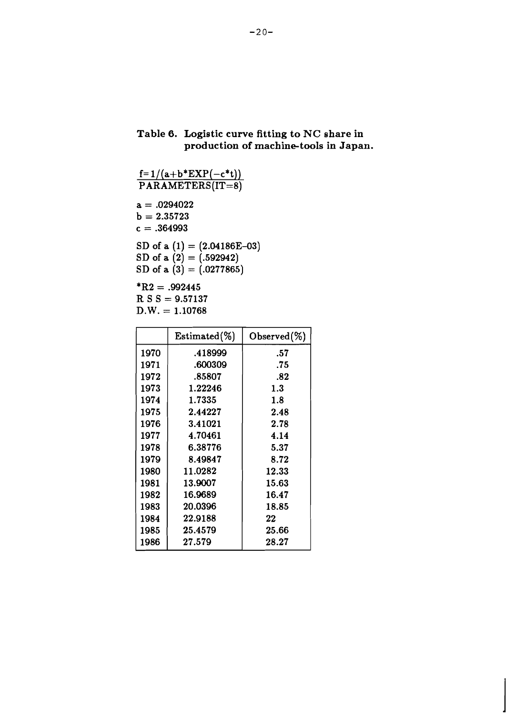## **Table 6. Logistic curve fitting to NC share in production of machine-tools in Japan.**

```
f= l/(a+b*EXP(-c*t)) 
 \texttt{PARAMETERS}(\texttt{IT=8})a = .0294022b = 2.35723c = .364993SD of a (1) = (2.04186E-03)SD of a (2) = (.592942)SD of a (3) = (.0277865)*R2 = .992445R S S = 9.57137D.W. = 1.10768
```

|      | $Estimated (\%)$ | Observed $(\%)$ |
|------|------------------|-----------------|
| 1970 | .418999          | .57             |
| 1971 | .600309          | .75             |
| 1972 | .85807           | .82             |
| 1973 | 1.22246          | 1.3             |
| 1974 | 1.7335           | 1.8             |
| 1975 | 2.44227          | 2.48            |
| 1976 | 3.41021          | 2.78            |
| 1977 | 4.70461          | 4.14            |
| 1978 | 6.38776          | 5.37            |
| 1979 | 8.49847          | 8.72            |
| 1980 | 11.0282          | 12.33           |
| 1981 | 13.9007          | 15.63           |
| 1982 | 16.9689          | 16.47           |
| 1983 | 20.0396          | 18.85           |
| 1984 | 22.9188          | 22              |
| 1985 | 25.4579          | 25.66           |
| 1986 | 27.579           | 28.27           |
|      |                  |                 |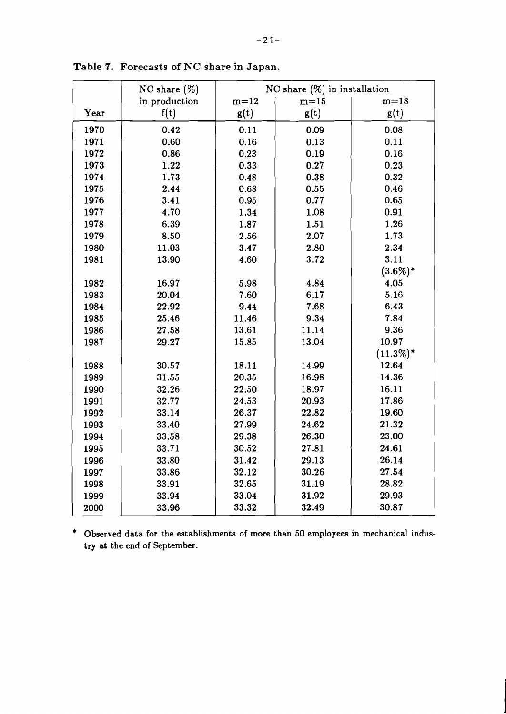|      | $NC \, share \, (\%)$ | NC share $(\%)$ in installation |        |             |  |  |
|------|-----------------------|---------------------------------|--------|-------------|--|--|
|      | in production         | $m=12$                          | $m=15$ | $m=18$      |  |  |
| Year | f(t)                  | g(t)                            | g(t)   | g(t)        |  |  |
| 1970 | 0.42                  | 0.11                            | 0.09   | 0.08        |  |  |
| 1971 | 0.60                  | 0.16                            | 0.13   | 0.11        |  |  |
| 1972 | 0.86                  | 0.23                            | 0.19   | 0.16        |  |  |
| 1973 | 1.22                  | 0.33                            | 0.27   | 0.23        |  |  |
| 1974 | 1.73                  | 0.48                            | 0.38   | 0.32        |  |  |
| 1975 | 2.44                  | 0.68                            | 0.55   | 0.46        |  |  |
| 1976 | 3.41                  | 0.95                            | 0.77   | 0.65        |  |  |
| 1977 | 4.70                  | 1.34                            | 1.08   | 0.91        |  |  |
| 1978 | 6.39                  | 1.87                            | 1.51   | 1.26        |  |  |
| 1979 | 8.50                  | 2.56                            | 2.07   | 1.73        |  |  |
| 1980 | 11.03                 | 3.47                            | 2.80   | 2.34        |  |  |
| 1981 | 13.90                 | 4.60                            | 3.72   | 3.11        |  |  |
|      |                       |                                 |        | $(3.6\%)*$  |  |  |
| 1982 | 16.97                 | 5.98                            | 4.84   | 4.05        |  |  |
| 1983 | 20.04                 | 7.60                            | 6.17   | 5.16        |  |  |
| 1984 | 22.92                 | 9.44                            | 7.68   | 6.43        |  |  |
| 1985 | 25.46                 | 11.46                           | 9.34   | 7.84        |  |  |
| 1986 | 27.58                 | 13.61                           | 11.14  | 9.36        |  |  |
| 1987 | 29.27                 | 15.85                           | 13.04  | 10.97       |  |  |
|      |                       |                                 |        | $(11.3\%)*$ |  |  |
| 1988 | 30.57                 | 18.11                           | 14.99  | 12.64       |  |  |
| 1989 | 31.55                 | 20.35                           | 16.98  | 14.36       |  |  |
| 1990 | 32.26                 | 22.50                           | 18.97  | 16.11       |  |  |
| 1991 | 32.77                 | 24.53                           | 20.93  | 17.86       |  |  |
| 1992 | 33.14                 | 26.37                           | 22.82  | 19.60       |  |  |
| 1993 | 33.40                 | 27.99                           | 24.62  | 21.32       |  |  |
| 1994 | 33.58                 | 29.38                           | 26.30  | 23.00       |  |  |
| 1995 | 33.71                 | 30.52                           | 27.81  | 24.61       |  |  |
| 1996 | 33.80                 | 31.42                           | 29.13  | 26.14       |  |  |
| 1997 | 33.86                 | 32.12                           | 30.26  | 27.54       |  |  |
| 1998 | 33.91                 | 32.65                           | 31.19  | 28.82       |  |  |
| 1999 | 33.94                 | 33.04                           | 31.92  | 29.93       |  |  |
| 2000 | 33.96                 | 33.32                           | 32.49  | 30.87       |  |  |

**Table 7. Forecasts of NC share in Japan.** 

\* Observed data for the establishments of more than 50 employees in mechanical industry at the end of September.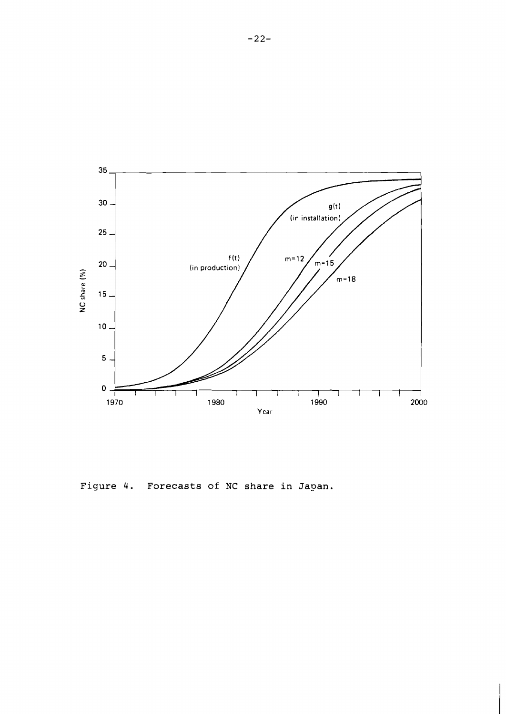

Figure 4. Forecasts of NC share in Japan.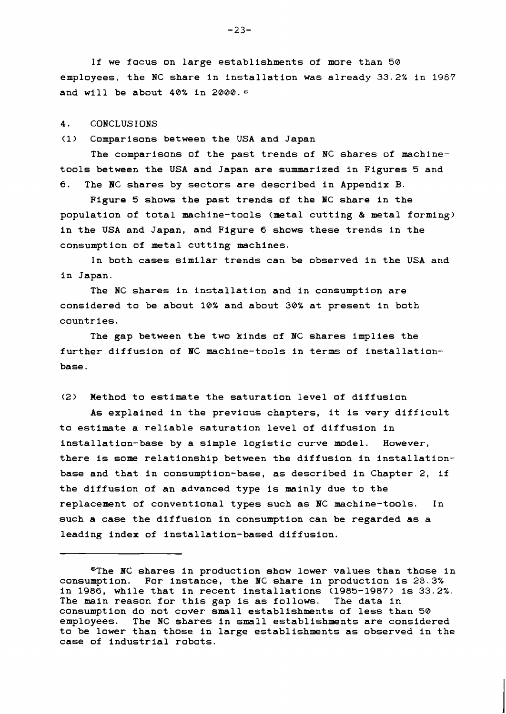**If we focus on large establishments of more than 50 employees, the NC share in installation was already 33.2% in 1987 and will be about 40% in 2000. 6** 

#### **4. CONCLUS I ONS**

**(1) Comparisons between the USA and Japan** 

**The comparisons of the past trends of NC shares of machinetools between the USA and Japan are summarized in Figures 5 and 6. The BC shares by sectors are described in Appendix B.** 

**Figure 5 shows the past trends of the NC share in the population of total machine-tools (metal cutting** & **metal forming) in the USA and Japan, and Figure 6 shows these trends in the consumption of metal cutting machines.** 

**In both cases similar trends can be observed in the USA and in Japan.** 

**The NC shares in installation and in consumption are considered to be about 10% and about 30% at present in both countries.** 

**The gap between the two kinds of HC shares implies the further diffusion of NC machine-tools in terms of installationbase.** 

**(2) Method to estimate the saturation level of diffusion** 

**As explained in the previous chapters, it is very difficult to estimate a reliable saturation level of diffusion in installation-base by a simple logistic curve model. However, there is some relationship between the diffusion in installationbase and that in consumption-base, as described in Chapter 2, if the diffusion of an advanced type is mainly due to the replacement of conventional types such as NC machine-tools. In such a case the diffusion in consumption can be regarded as a leading index of installation-based diffusion.** 

**<sup>&</sup>quot;The BC shares in production show lower values than those in consumption. For instance, the NC share in production is 28.3% in 1986, while that in recent installations (1985-1987) is 33.2%.**  The main reason for this gap is as follows. **consumption do not cover small establishments of less than 50 employees. The NC shares in small establishments are considered to be lower than those in large establishments as observed in the case of industrial robots.**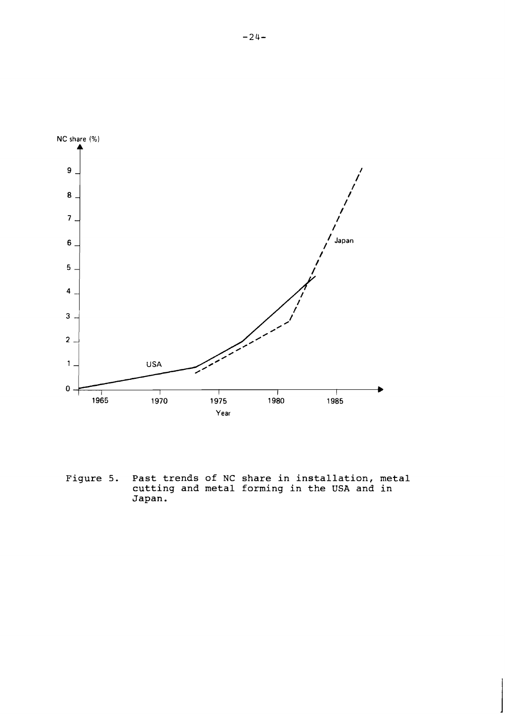

**Figure 5. Past trends of NC share in installation, metal cutting and metal forming in the USA and in Japan.**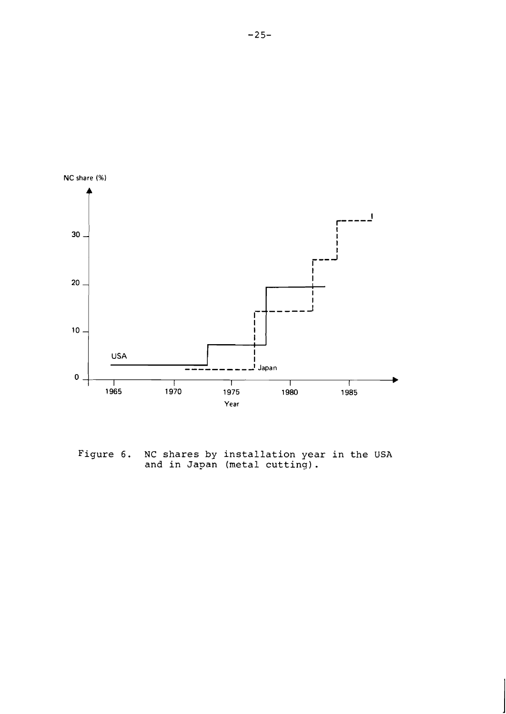

**Figure 6. NC shares by installation year in the USA and in Japan (metal cutting).**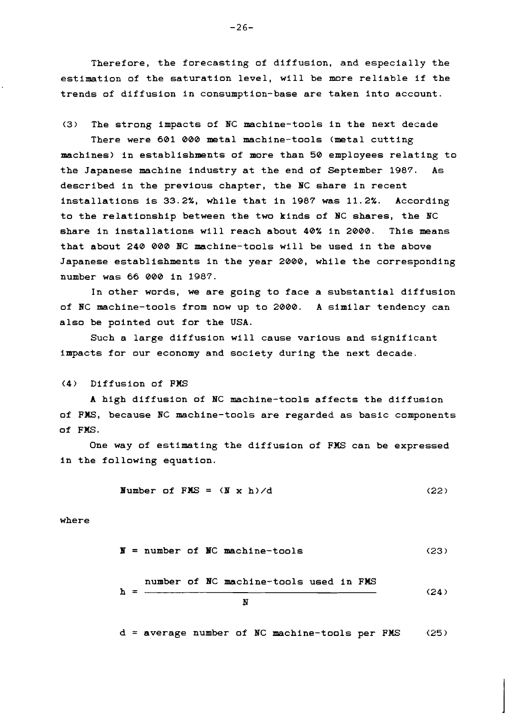**Therefore, the forecasting of diffusion, and especially the estimation of the saturation level, will be more reliable if the trends of diffusion in consumption-base are taken into account.** 

**(3) The strong impacts of NC machine-tools in the next decade There were 601 000 metal machine-tools (metal cutting machines) in establishments of more than 50 employees relating to the Japanese machine industry at the end of September 1987. As described in the previous chapter, the BC share in recent installations is 33.2%, while that in 1987 was 11.2%. According to the relationship between the two kinds of BC shares, the BC share in installations will reach about 40% in 2000. This means that about 240 000 BC machine-tools will be used in the above Japanese establishments in the year 2000, while the corresponding number was 66 000 in 1987.** 

**In other words, we are going to face a substantial diffusion of RC machine-tools from now up to 2000. A similar tendency can also be pointed out for the USA.** 

**Such a large diffusion will cause various and significant impacts for our economy and society during the next decade.** 

**(4) Diffusion of FMS** 

**A high diffusion of NC machine-tools affects the diffusion of FMS, because RC machine-tools are regarded as basic components of FMS.** 

**One way of estimating the diffusion of FMS can be expressed in the following equation.** 

Number of FMS = 
$$
(N \times h)/d
$$
 (22)

**where** 

$$
\mathbf{N} = \text{number of } \mathbf{NC} \text{ machine-tools} \tag{23}
$$

number of NC machine-tools used in FMS  

$$
h = \frac{N}{N}
$$
 (24)

**d** = **average number of NC machine-tools per FMS (25** )

 $-26-$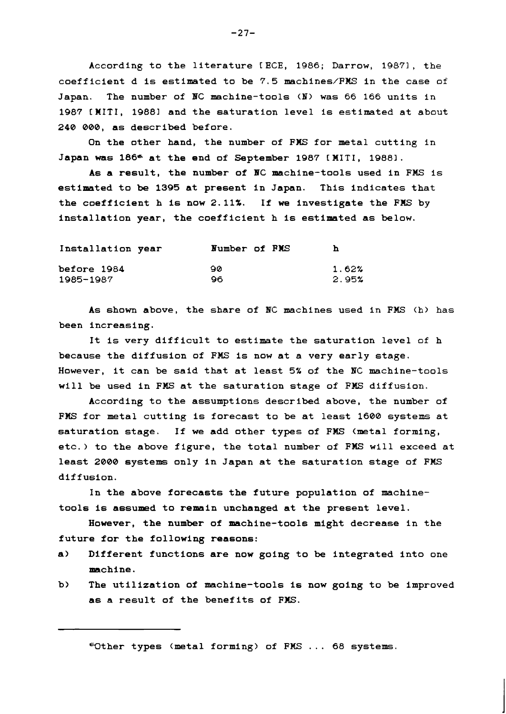**According to the literature CECE,** 1986; **Darrow,** 19871, **the coefficient d is estimated to be** 7.5 **machines/FMS in the case of Japan. The number of BC machine-tools (N) was** 66 166 **units in**  1987 **CMITI,** 19881 **and the saturation level is estimated at about 240 000, as described before.** 

**On the other hand, the number of FWS for metal cutting in Japan was 186- at the end of September** 1987 **C MITI,** 19881.

**As a result, the number of BC machine-tools used in FMS is estimated to be 1395 at present in Japan. This indicates that the coefficient h is now** 2.11%. **If we investigate the FILS by installation year, the coefficient h is estimated as below.** 

| Installation year | Number of PMS | h     |
|-------------------|---------------|-------|
| before 1984       | ഹ             | 1.62% |
| 1985-1987         | റെ            | 2.95% |

**As shown above, the share of BC machines used in FMS (h) has been increasing.** 

**It is very difficult to estimate the saturation level of h because the diffusion of FMS is now at a very early stage. However, it can be said that at least** 5% **of the BC machine-tools will be used in FIG at the saturation stage of FIG diffusion.** 

**According to the assumptions described above, the number of FMS for metal cutting is forecast to be at least** 1600 **systems at saturation stage. If we add other types of FMS (metal forming, etc.) to the above figure, the total number of FMS will exceed at least 2000 systems only in Japan at the saturation stage of FMS diffusion.** 

**In the above forecasts the future population of machinetools is assumed to remain unchanged at the present level.** 

**However, the number of machine-tools might decrease in the future for the following reasons:** 

- **a) Different functions are now going to be integrated into one machine.**
- **b) The utilization of machine-tools is now going to be improved as a result of the benefits of FWS.**

**Wther types (metal forming) of FMS** . . . 68 **systems.** 

 $-27-$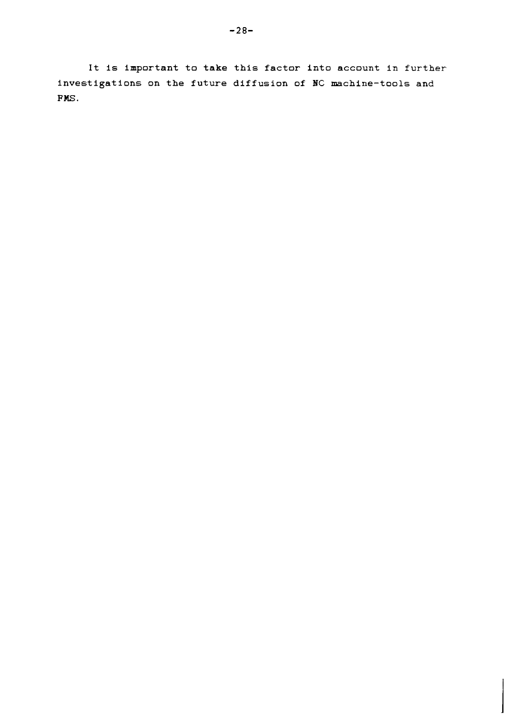**It is important to take this factor into account in further**  investigations on the future diffusion of NC machine-tools and **FMS.**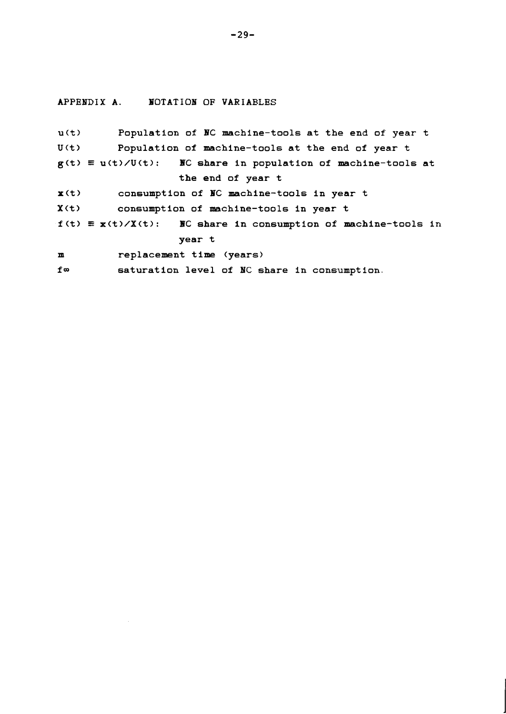APPENDIX A. **NOTATION OF VARIABLES** 

```
u(t) Population of BC machine-tools at the end of year t 
U(t) Population of machine-tools at the end of year t 
g(t) \equiv u(t)/U(t): NO share in population of machine-tools at
                   the end of year t 
x(t) consumption of BC machine-tools in year t 
X(t) consumption of machine-tools in year t 
f(t) \equiv x(t)/X(t): NO share in consumption of machine-tools in
                   year t 
m replacement time (years) 
fm saturation level of HC share in consumption.
```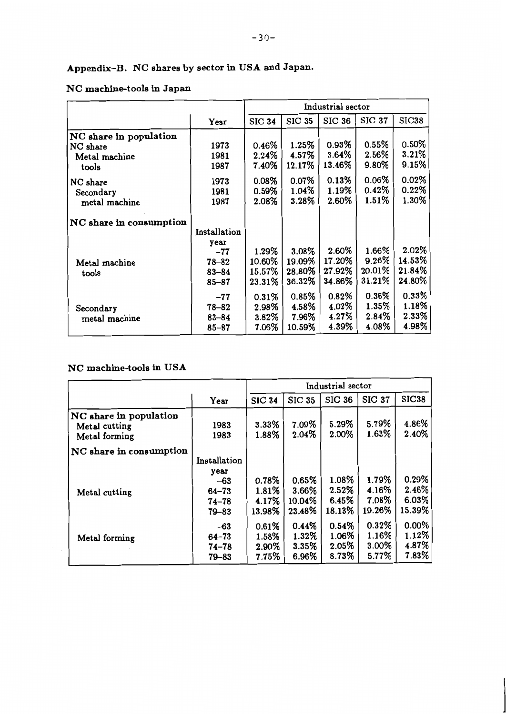# **Appendix-B. NC shares by sector in USA and Japan.**

## **NC machine-tools in Japan**

|                         |              | Industrial sector |               |               |               |              |
|-------------------------|--------------|-------------------|---------------|---------------|---------------|--------------|
|                         | Year         | <b>SIC 34</b>     | <b>SIC 35</b> | <b>SIC 36</b> | <b>SIC 37</b> | <b>SIC38</b> |
| NC share in population  |              |                   |               |               |               |              |
| NC share                | 1973         | 0.46%             | 1.25%         | 0.93%         | 0.55%         | 0.50%        |
| Metal machine           | 1981         | 2.24%             | 4.57%         | 3.64%         | 2.56%         | 3.21%        |
| tools                   | 1987         | 7.40%             | 12.17%        | 13.46%        | 9.80%         | 9.15%        |
| NC share                | 1973         | $0.08\%$          | 0.07%         | 0.13%         | $0.06\%$      | 0.02%        |
| Secondary               | 1981         | 0.59%             | 1.04%         | $1.19\%$      | 0.42%         | 0.22%        |
| metal machine           | 1987         | 2.08%             | 3.28%         | 2.60%         | 1.51%         | 1.30%        |
| NC share in consumption |              |                   |               |               |               |              |
|                         | Installation |                   |               |               |               |              |
|                         | year         |                   |               |               |               |              |
|                         | $-77$        | 1.29%             | 3.08%         | 2.60%         | 1.66%         | 2.02%        |
| Metal machine           | $78 - 82$    | 10.60%            | 19.09%        | 17.20%        | 9.26%         | 14.53%       |
| tools                   | $83 - 84$    | 15.57%            | 28.80%        | 27.92%        | 20.01%        | 21.84%       |
|                         | $85 - 87$    | 23.31%            | 36.32%        | 34.86%        | 31.21%        | 24.80%       |
|                         | $-77$        | 0.31%             | 0.85%         | $0.82\%$      | $0.36\%$      | 0.33%        |
| Secondary               | $78 - 82$    | 2.98%             | 4.58%         | 4.02%         | 1.35%         | 1.18%        |
| metal machine           | $83 - 84$    | $3.82\%$          | 7.96%         | 4.27%         | $2.84\%$      | $2.33\%$     |
|                         | $85 - 87$    | 7.06%             | 10.59%        | 4.39%         | 4.08%         | 4.98%        |

## **NC machine-tools in USA**

|                                                          |                                                                    | Industrial sector                 |                                    |                                   |                                   |                                     |
|----------------------------------------------------------|--------------------------------------------------------------------|-----------------------------------|------------------------------------|-----------------------------------|-----------------------------------|-------------------------------------|
|                                                          | Year                                                               | <b>SIC 34</b>                     | <b>SIC 35</b>                      | <b>SIC 36</b>                     | <b>SIC 37</b>                     | <b>SIC38</b>                        |
| NC share in population<br>Metal cutting<br>Metal forming | 1983<br>1983                                                       | 3.33%<br>1.88%                    | 7.09%<br>2.04%                     | 5.29%<br>2.00%                    | 5.79%<br>1.63%                    | 4.86%<br>2.40%                      |
| NC share in consumption                                  |                                                                    |                                   |                                    |                                   |                                   |                                     |
| Metal cutting                                            | Installation<br>year<br>-63<br>$64 - 73$<br>$74 - 78$<br>$79 - 83$ | 0.78%<br>1.81%<br>4.17%<br>13.98% | 0.65%<br>3.66%<br>10.04%<br>23.48% | 1.08%<br>2.52%<br>6.45%<br>18.13% | 1.79%<br>4.16%<br>7.08%<br>19.26% | 0.29%<br>2.46%<br>6.03%<br>15.39%   |
| Metal forming                                            | $-63$<br>$64 - 73$<br>$74 - 78$<br>$79 - 83$                       | 0.61%<br>1.58%<br>2.90%<br>7.75%  | 0.44%<br>1.32%<br>3.35%<br>6.96%   | 0.54%<br>1.06%<br>2.05%<br>8.73%  | 0.32%<br>1.16%<br>3.00%<br>5.77%  | $0.00\%$<br>1.12%<br>4.87%<br>7.83% |